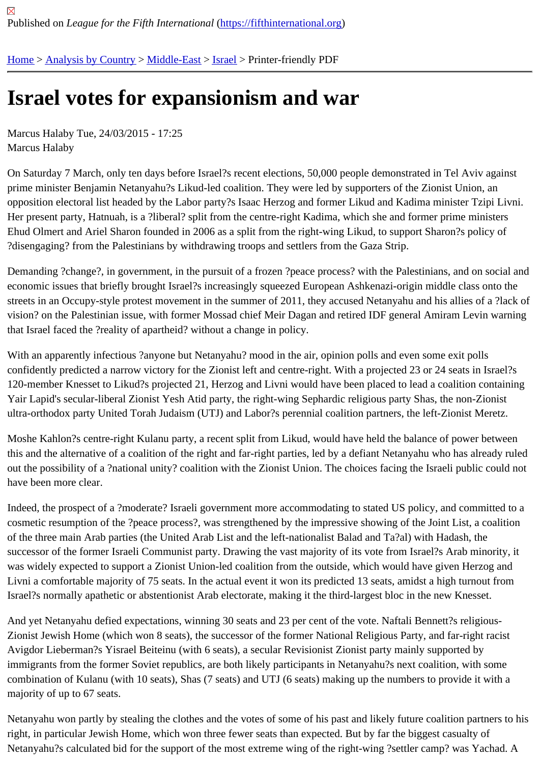## [Isra](https://fifthinternational.org/)[el votes fo](https://fifthinternational.org/category/1)[r expa](https://fifthinternational.org/category/1/178)[nsio](https://fifthinternational.org/category/1/178/465)nism and war

Marcus Halaby Tue, 24/03/2015 - 17:25 Marcus Halaby

On Saturday 7 March, only ten days before Israel?s recent elections, 50,000 people demonstrated in Tel Aviv aga prime minister Benjamin Netanyahu?s Likud-led coalition. They were led by supporters of the Zionist Union, an opposition electoral list headed by the Labor party?s Isaac Herzog and former Likud and Kadima minister Tzipi Liv Her present party, Hatnuah, is a ?liberal? split from the centre-right Kadima, which she and former prime ministers Ehud Olmert and Ariel Sharon founded in 2006 as a split from the right-wing Likud, to support Sharon?s policy of ?disengaging? from the Palestinians by withdrawing troops and settlers from the Gaza Strip.

Demanding ?change?, in government, in the pursuit of a frozen ?peace process? with the Palestinians, and on so economic issues that briefly brought Israel?s increasingly squeezed European Ashkenazi-origin middle class onto streets in an Occupy-style protest movement in the summer of 2011, they accused Netanyahu and his allies of a? vision? on the Palestinian issue, with former Mossad chief Meir Dagan and retired IDF general Amiram Levin warr that Israel faced the ?reality of apartheid? without a change in policy.

With an apparently infectious ?anyone but Netanyahu? mood in the air, opinion polls and even some exit polls confidently predicted a narrow victory for the Zionist left and centre-right. With a projected 23 or 24 seats in Israel? 120-member Knesset to Likud?s projected 21, Herzog and Livni would have been placed to lead a coalition contai Yair Lapid's secular-liberal Zionist Yesh Atid party, the right-wing Sephardic religious party Shas, the non-Zionist ultra-orthodox party United Torah Judaism (UTJ) and Labor?s perennial coalition partners, the left-Zionist Meretz.

Moshe Kahlon?s centre-right Kulanu party, a recent split from Likud, would have held the balance of power betwee this and the alternative of a coalition of the right and far-right parties, led by a defiant Netanyahu who has already out the possibility of a ?national unity? coalition with the Zionist Union. The choices facing the Israeli public could r have been more clear.

Indeed, the prospect of a ?moderate? Israeli government more accommodating to stated US policy, and committe cosmetic resumption of the ?peace process?, was strengthened by the impressive showing of the Joint List, a coa of the three main Arab parties (the United Arab List and the left-nationalist Balad and Ta?al) with Hadash, the successor of the former Israeli Communist party. Drawing the vast majority of its vote from Israel?s Arab minority, was widely expected to support a Zionist Union-led coalition from the outside, which would have given Herzog and Livni a comfortable majority of 75 seats. In the actual event it won its predicted 13 seats, amidst a high turnout fror Israel?s normally apathetic or abstentionist Arab electorate, making it the third-largest bloc in the new Knesset.

And yet Netanyahu defied expectations, winning 30 seats and 23 per cent of the vote. Naftali Bennett?s religious-Zionist Jewish Home (which won 8 seats), the successor of the former National Religious Party, and far-right racist Avigdor Lieberman?s Yisrael Beiteinu (with 6 seats), a secular Revisionist Zionist party mainly supported by immigrants from the former Soviet republics, are both likely participants in Netanyahu?s next coalition, with some combination of Kulanu (with 10 seats), Shas (7 seats) and UTJ (6 seats) making up the numbers to provide it with a majority of up to 67 seats.

Netanyahu won partly by stealing the clothes and the votes of some of his past and likely future coalition partners right, in particular Jewish Home, which won three fewer seats than expected. But by far the biggest casualty of Netanyahu?s calculated bid for the support of the most extreme wing of the right-wing ?settler camp? was Yachad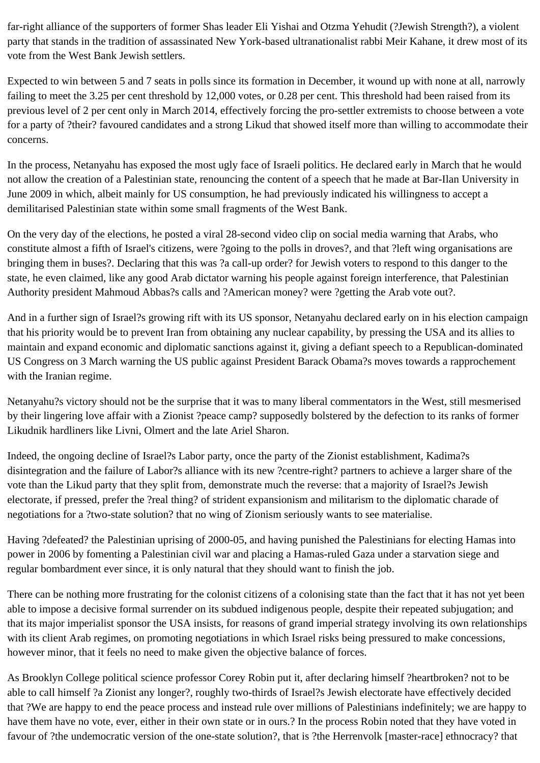far-right alliance of the supporters of former Shas leader Eli Yishai and Otzma Yehudit (?Jewish Strength?), a violent party that stands in the tradition of assassinated New York-based ultranationalist rabbi Meir Kahane, it drew most of its vote from the West Bank Jewish settlers.

Expected to win between 5 and 7 seats in polls since its formation in December, it wound up with none at all, narrowly failing to meet the 3.25 per cent threshold by 12,000 votes, or 0.28 per cent. This threshold had been raised from its previous level of 2 per cent only in March 2014, effectively forcing the pro-settler extremists to choose between a vote for a party of ?their? favoured candidates and a strong Likud that showed itself more than willing to accommodate their concerns.

In the process, Netanyahu has exposed the most ugly face of Israeli politics. He declared early in March that he would not allow the creation of a Palestinian state, renouncing the content of a speech that he made at Bar-Ilan University in June 2009 in which, albeit mainly for US consumption, he had previously indicated his willingness to accept a demilitarised Palestinian state within some small fragments of the West Bank.

On the very day of the elections, he posted a viral 28-second video clip on social media warning that Arabs, who constitute almost a fifth of Israel's citizens, were ?going to the polls in droves?, and that ?left wing organisations are bringing them in buses?. Declaring that this was ?a call-up order? for Jewish voters to respond to this danger to the state, he even claimed, like any good Arab dictator warning his people against foreign interference, that Palestinian Authority president Mahmoud Abbas?s calls and ?American money? were ?getting the Arab vote out?.

And in a further sign of Israel?s growing rift with its US sponsor, Netanyahu declared early on in his election campaign that his priority would be to prevent Iran from obtaining any nuclear capability, by pressing the USA and its allies to maintain and expand economic and diplomatic sanctions against it, giving a defiant speech to a Republican-dominated US Congress on 3 March warning the US public against President Barack Obama?s moves towards a rapprochement with the Iranian regime.

Netanyahu?s victory should not be the surprise that it was to many liberal commentators in the West, still mesmerised by their lingering love affair with a Zionist ?peace camp? supposedly bolstered by the defection to its ranks of former Likudnik hardliners like Livni, Olmert and the late Ariel Sharon.

Indeed, the ongoing decline of Israel?s Labor party, once the party of the Zionist establishment, Kadima?s disintegration and the failure of Labor?s alliance with its new ?centre-right? partners to achieve a larger share of the vote than the Likud party that they split from, demonstrate much the reverse: that a majority of Israel?s Jewish electorate, if pressed, prefer the ?real thing? of strident expansionism and militarism to the diplomatic charade of negotiations for a ?two-state solution? that no wing of Zionism seriously wants to see materialise.

Having ?defeated? the Palestinian uprising of 2000-05, and having punished the Palestinians for electing Hamas into power in 2006 by fomenting a Palestinian civil war and placing a Hamas-ruled Gaza under a starvation siege and regular bombardment ever since, it is only natural that they should want to finish the job.

There can be nothing more frustrating for the colonist citizens of a colonising state than the fact that it has not yet been able to impose a decisive formal surrender on its subdued indigenous people, despite their repeated subjugation; and that its major imperialist sponsor the USA insists, for reasons of grand imperial strategy involving its own relationships with its client Arab regimes, on promoting negotiations in which Israel risks being pressured to make concessions, however minor, that it feels no need to make given the objective balance of forces.

As Brooklyn College political science professor Corey Robin put it, after declaring himself ?heartbroken? not to be able to call himself ?a Zionist any longer?, roughly two-thirds of Israel?s Jewish electorate have effectively decided that ?We are happy to end the peace process and instead rule over millions of Palestinians indefinitely; we are happy to have them have no vote, ever, either in their own state or in ours.? In the process Robin noted that they have voted in favour of ?the undemocratic version of the one-state solution?, that is ?the Herrenvolk [master-race] ethnocracy? that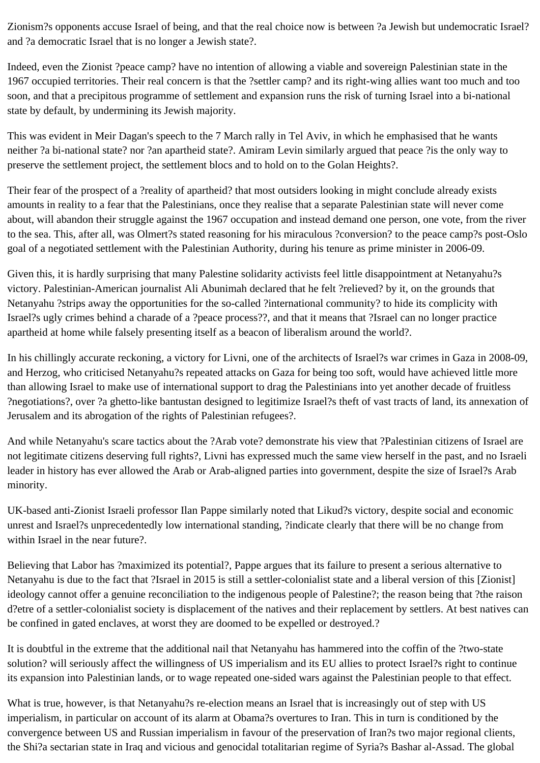Zionism?s opponents accuse Israel of being, and that the real choice now is between ?a Jewish but undemocratic Israel? and ?a democratic Israel that is no longer a Jewish state?.

Indeed, even the Zionist ?peace camp? have no intention of allowing a viable and sovereign Palestinian state in the 1967 occupied territories. Their real concern is that the ?settler camp? and its right-wing allies want too much and too soon, and that a precipitous programme of settlement and expansion runs the risk of turning Israel into a bi-national state by default, by undermining its Jewish majority.

This was evident in Meir Dagan's speech to the 7 March rally in Tel Aviv, in which he emphasised that he wants neither ?a bi-national state? nor ?an apartheid state?. Amiram Levin similarly argued that peace ?is the only way to preserve the settlement project, the settlement blocs and to hold on to the Golan Heights?.

Their fear of the prospect of a ?reality of apartheid? that most outsiders looking in might conclude already exists amounts in reality to a fear that the Palestinians, once they realise that a separate Palestinian state will never come about, will abandon their struggle against the 1967 occupation and instead demand one person, one vote, from the river to the sea. This, after all, was Olmert?s stated reasoning for his miraculous ?conversion? to the peace camp?s post-Oslo goal of a negotiated settlement with the Palestinian Authority, during his tenure as prime minister in 2006-09.

Given this, it is hardly surprising that many Palestine solidarity activists feel little disappointment at Netanyahu?s victory. Palestinian-American journalist Ali Abunimah declared that he felt ?relieved? by it, on the grounds that Netanyahu ?strips away the opportunities for the so-called ?international community? to hide its complicity with Israel?s ugly crimes behind a charade of a ?peace process??, and that it means that ?Israel can no longer practice apartheid at home while falsely presenting itself as a beacon of liberalism around the world?.

In his chillingly accurate reckoning, a victory for Livni, one of the architects of Israel?s war crimes in Gaza in 2008-09, and Herzog, who criticised Netanyahu?s repeated attacks on Gaza for being too soft, would have achieved little more than allowing Israel to make use of international support to drag the Palestinians into yet another decade of fruitless ?negotiations?, over ?a ghetto-like bantustan designed to legitimize Israel?s theft of vast tracts of land, its annexation of Jerusalem and its abrogation of the rights of Palestinian refugees?.

And while Netanyahu's scare tactics about the ?Arab vote? demonstrate his view that ?Palestinian citizens of Israel are not legitimate citizens deserving full rights?, Livni has expressed much the same view herself in the past, and no Israeli leader in history has ever allowed the Arab or Arab-aligned parties into government, despite the size of Israel?s Arab minority.

UK-based anti-Zionist Israeli professor Ilan Pappe similarly noted that Likud?s victory, despite social and economic unrest and Israel?s unprecedentedly low international standing, ?indicate clearly that there will be no change from within Israel in the near future?.

Believing that Labor has ?maximized its potential?, Pappe argues that its failure to present a serious alternative to Netanyahu is due to the fact that ?Israel in 2015 is still a settler-colonialist state and a liberal version of this [Zionist] ideology cannot offer a genuine reconciliation to the indigenous people of Palestine?; the reason being that ?the raison d?etre of a settler-colonialist society is displacement of the natives and their replacement by settlers. At best natives can be confined in gated enclaves, at worst they are doomed to be expelled or destroyed.?

It is doubtful in the extreme that the additional nail that Netanyahu has hammered into the coffin of the ?two-state solution? will seriously affect the willingness of US imperialism and its EU allies to protect Israel?s right to continue its expansion into Palestinian lands, or to wage repeated one-sided wars against the Palestinian people to that effect.

What is true, however, is that Netanyahu?s re-election means an Israel that is increasingly out of step with US imperialism, in particular on account of its alarm at Obama?s overtures to Iran. This in turn is conditioned by the convergence between US and Russian imperialism in favour of the preservation of Iran?s two major regional clients, the Shi?a sectarian state in Iraq and vicious and genocidal totalitarian regime of Syria?s Bashar al-Assad. The global